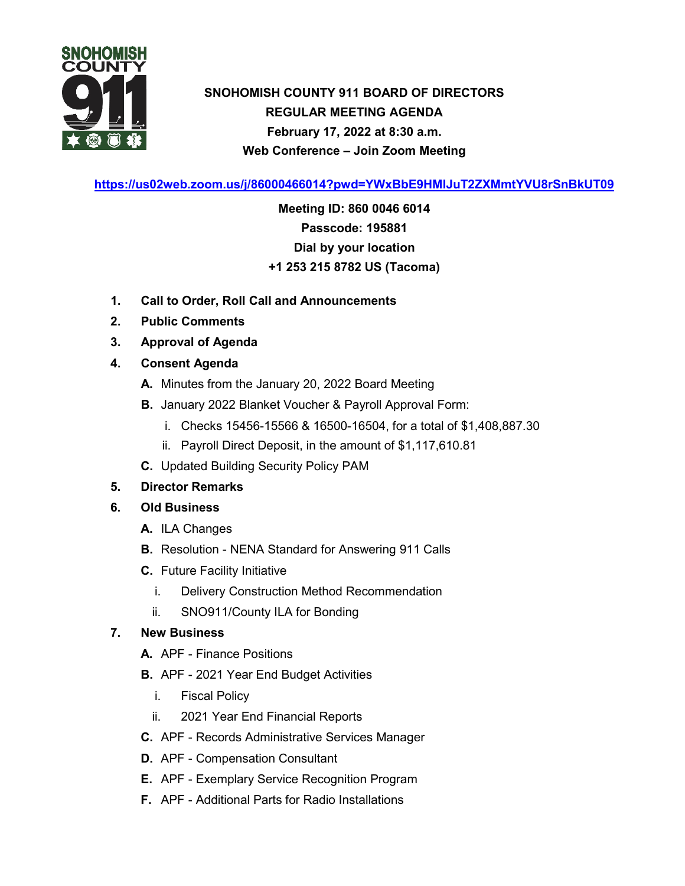

# **SNOHOMISH COUNTY 911 BOARD OF DIRECTORS REGULAR MEETING AGENDA February 17, 2022 at 8:30 a.m. Web Conference – Join Zoom Meeting**

**<https://us02web.zoom.us/j/86000466014?pwd=YWxBbE9HMlJuT2ZXMmtYVU8rSnBkUT09>**

**Meeting ID: 860 0046 6014 Passcode: 195881 Dial by your location +1 253 215 8782 US (Tacoma)**

- **1. Call to Order, Roll Call and Announcements**
- **2. Public Comments**
- **3. Approval of Agenda**
- **4. Consent Agenda**
	- **A.** Minutes from the January 20, 2022 Board Meeting
	- **B.** January 2022 Blanket Voucher & Payroll Approval Form:
		- i. Checks 15456-15566 & 16500-16504, for a total of \$1,408,887.30
		- ii. Payroll Direct Deposit, in the amount of \$1,117,610.81
	- **C.** Updated Building Security Policy PAM

### **5. Director Remarks**

- **6. Old Business**
	- **A.** ILA Changes
	- **B.** Resolution NENA Standard for Answering 911 Calls
	- **C.** Future Facility Initiative
		- i. Delivery Construction Method Recommendation
		- ii. SNO911/County ILA for Bonding

### **7. New Business**

- **A.** APF Finance Positions
- **B.** APF 2021 Year End Budget Activities
	- i. Fiscal Policy
	- ii. 2021 Year End Financial Reports
- **C.** APF Records Administrative Services Manager
- **D.** APF Compensation Consultant
- **E.** APF Exemplary Service Recognition Program
- **F.** APF Additional Parts for Radio Installations